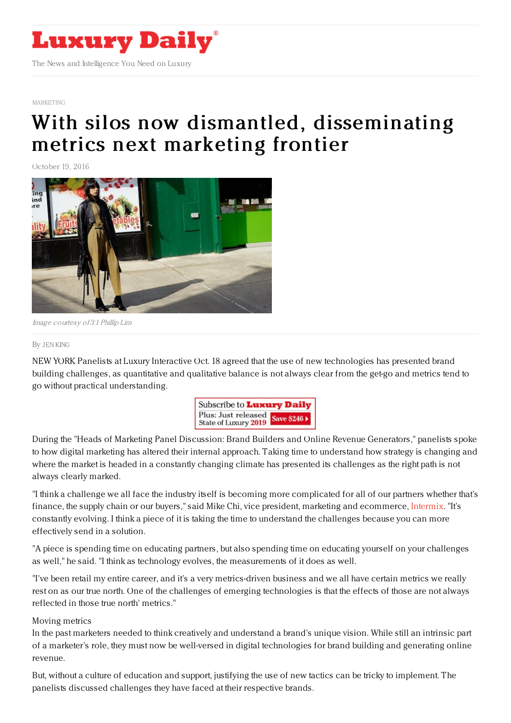

#### [MARKETING](https://www.luxurydaily.com/category/sectors/marketing-industry-sectors/)

# With silos now dismantled, [disseminating](https://www.luxurydaily.com/188976-2/) metrics next marketing frontier

October 19, 2016



Image courtesy of 3:1 Phillip Lim

#### By JEN [KING](file:///author/jen-king)

NEW YORK Panelists at Luxury Interactive Oct. 18 agreed that the use of new technologies has presented brand building challenges, as quantitative and qualitative balance is not always clear from the get-go and metrics tend to go without practical understanding.



During the "Heads of Marketing Panel Discussion: Brand Builders and Online Revenue Generators," panelists spoke to how digital marketing has altered their internal approach. Taking time to understand how strategy is changing and where the market is headed in a constantly changing climate has presented its challenges as the right path is not always clearly marked.

"I think a challenge we all face the industry itself is becoming more complicated for all of our partners whether that's finance, the supply chain or our buyers," said Mike Chi, vice president, marketing and ecommerce, [Intermix](http://www.intermix.com). "It's constantly evolving. I think a piece of it is taking the time to understand the challenges because you can more effectively send in a solution.

"A piece is spending time on educating partners, but also spending time on educating yourself on your challenges as well," he said. "I think as technology evolves, the measurements of it does as well.

"I've been retail my entire career, and it's a very metrics-driven business and we all have certain metrics we really rest on as our true north. One of the challenges of emerging technologies is that the effects of those are not always reflected in those true north' metrics."

### Moving metrics

In the past marketers needed to think creatively and understand a brand's unique vision. While still an intrinsic part of a marketer's role, they must now be well-versed in digital technologies for brand building and generating online revenue.

But, without a culture of education and support, justifying the use of new tactics can be tricky to implement. The panelists discussed challenges they have faced at their respective brands.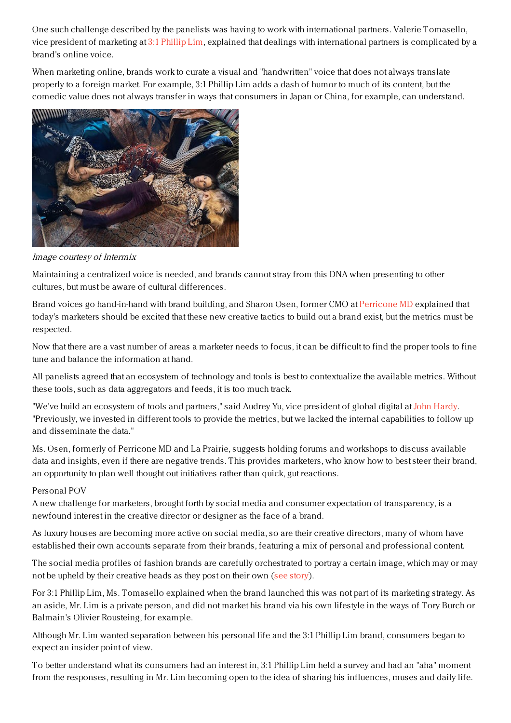One such challenge described by the panelists was having to work with international partners. Valerie Tomasello, vice president of marketing at 3:1 [Phillip](https://www.31philliplim.com) Lim, explained that dealings with international partners is complicated by a brand's online voice.

When marketing online, brands work to curate a visual and "handwritten" voice that does not always translate properly to a foreign market. For example, 3:1 Phillip Lim adds a dash of humor to much of its content, but the comedic value does not always transfer in ways that consumers in Japan or China, for example, can understand.



Image courtesy of Intermix

Maintaining a centralized voice is needed, and brands cannot stray from this DNA when presenting to other cultures, but must be aware of cultural differences.

Brand voices go hand-in-hand with brand building, and Sharon Osen, former CMO at [Perricone](https://www.perriconemd.com) MD explained that today's marketers should be excited that these new creative tactics to build out a brand exist, but the metrics must be respected.

Now that there are a vast number of areas a marketer needs to focus, it can be difficult to find the proper tools to fine tune and balance the information at hand.

All panelists agreed that an ecosystem of technology and tools is best to contextualize the available metrics. Without these tools, such as data aggregators and feeds, it is too much track.

"We've build an ecosystem of tools and partners," said Audrey Yu, vice president of global digital at John [Hardy](http://www.johnhardy.com). "Previously, we invested in different tools to provide the metrics, but we lacked the internal capabilities to follow up and disseminate the data."

Ms. Osen, formerly of Perricone MD and La Prairie, suggests holding forums and workshops to discuss available data and insights, even if there are negative trends. This provides marketers, who know how to best steer their brand, an opportunity to plan well thought out initiatives rather than quick, gut reactions.

## Personal POV

A new challenge for marketers, brought forth by social media and consumer expectation of transparency, is a newfound interest in the creative director or designer as the face of a brand.

As luxury houses are becoming more active on social media, so are their creative directors, many of whom have established their own accounts separate from their brands, featuring a mix of personal and professional content.

The social media profiles of fashion brands are carefully orchestrated to portray a certain image, which may or may not be upheld by their creative heads as they post on their own (see [story](https://www.luxurydaily.com/should-designers-have-their-own-social-media-personas/)).

For 3:1 Phillip Lim, Ms. Tomasello explained when the brand launched this was not part of its marketing strategy. As an aside, Mr. Lim is a private person, and did not market his brand via his own lifestyle in the ways of Tory Burch or Balmain's Olivier Rousteing, for example.

Although Mr. Lim wanted separation between his personal life and the 3:1 Phillip Lim brand, consumers began to expect an insider point of view.

To better understand what its consumers had an interest in, 3:1 Phillip Lim held a survey and had an "aha" moment from the responses, resulting in Mr. Lim becoming open to the idea of sharing his influences, muses and daily life.